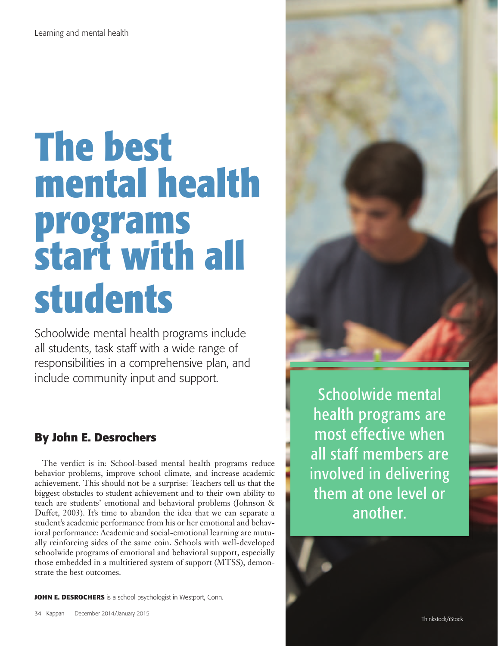# **The best mental health programs start with all students**

Schoolwide mental health programs include all students, task staff with a wide range of responsibilities in a comprehensive plan, and include community input and support.

## **By John E. Desrochers**

The verdict is in: School-based mental health programs reduce behavior problems, improve school climate, and increase academic achievement. This should not be a surprise: Teachers tell us that the biggest obstacles to student achievement and to their own ability to teach are students' emotional and behavioral problems (Johnson & Duffet, 2003). It's time to abandon the idea that we can separate a student's academic performance from his or her emotional and behavioral performance: Academic and social-emotional learning are mutually reinforcing sides of the same coin. Schools with well-developed schoolwide programs of emotional and behavioral support, especially those embedded in a multitiered system of support (MTSS), demonstrate the best outcomes.

**JOHN E. DESROCHERS** is a school psychologist in Westport, Conn.



Schoolwide mental health programs are most effective when all staff members are involved in delivering them at one level or another.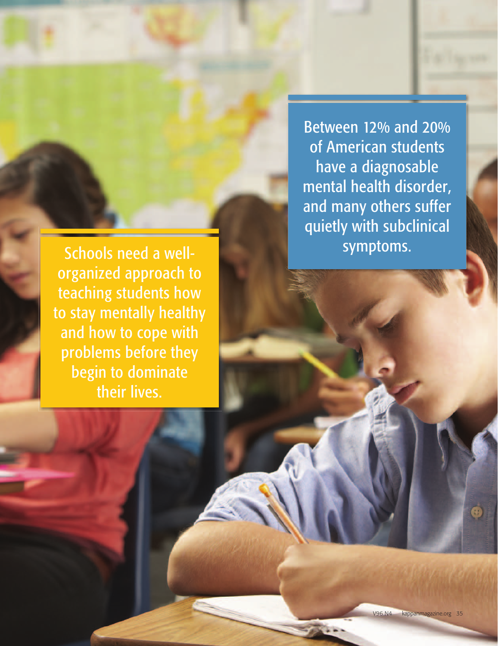Schools need a wellorganized approach to teaching students how to stay mentally healthy and how to cope with problems before they begin to dominate their lives.

Between 12% and 20% of American students have a diagnosable mental health disorder, and many others suffer quietly with subclinical symptoms.

Comments? Like PDK at www. facebook.com/pdkintl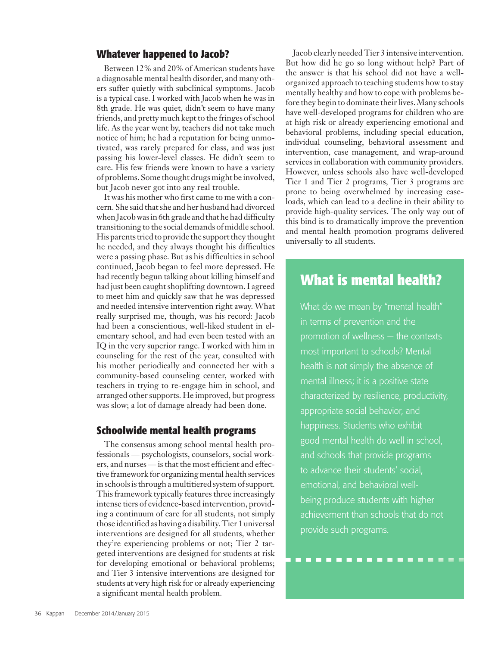#### **Whatever happened to Jacob?**

Between 12% and 20% of American students have a diagnosable mental health disorder, and many others suffer quietly with subclinical symptoms. Jacob is a typical case. I worked with Jacob when he was in 8th grade. He was quiet, didn't seem to have many friends, and pretty much kept to the fringes of school life. As the year went by, teachers did not take much notice of him; he had a reputation for being unmotivated, was rarely prepared for class, and was just passing his lower-level classes. He didn't seem to care. His few friends were known to have a variety of problems. Some thought drugs might be involved, but Jacob never got into any real trouble.

It was his mother who first came to me with a concern. She said that she and her husband had divorced when Jacob was in 6th grade and that he had difficulty transitioning to the social demands of middle school. His parents tried to provide the support they thought he needed, and they always thought his difficulties were a passing phase. But as his difficulties in school continued, Jacob began to feel more depressed. He had recently begun talking about killing himself and had just been caught shoplifting downtown. I agreed to meet him and quickly saw that he was depressed and needed intensive intervention right away. What really surprised me, though, was his record: Jacob had been a conscientious, well-liked student in elementary school, and had even been tested with an IQ in the very superior range. I worked with him in counseling for the rest of the year, consulted with his mother periodically and connected her with a community-based counseling center, worked with teachers in trying to re-engage him in school, and arranged other supports. He improved, but progress was slow; a lot of damage already had been done.

#### **Schoolwide mental health programs**

The consensus among school mental health professionals — psychologists, counselors, social workers, and nurses — is that the most efficient and effective framework for organizing mental health services in schools is through a multitiered system of support. This framework typically features three increasingly intense tiers of evidence-based intervention, providing a continuum of care for all students, not simply those identified as having a disability. Tier 1 universal interventions are designed for all students, whether they're experiencing problems or not; Tier 2 targeted interventions are designed for students at risk for developing emotional or behavioral problems; and Tier 3 intensive interventions are designed for students at very high risk for or already experiencing a significant mental health problem.

Jacob clearly needed Tier 3 intensive intervention. But how did he go so long without help? Part of the answer is that his school did not have a wellorganized approach to teaching students how to stay mentally healthy and how to cope with problems before they begin to dominate their lives. Many schools have well-developed programs for children who are at high risk or already experiencing emotional and behavioral problems, including special education, individual counseling, behavioral assessment and intervention, case management, and wrap-around services in collaboration with community providers. However, unless schools also have well-developed Tier 1 and Tier 2 programs, Tier 3 programs are prone to being overwhelmed by increasing caseloads, which can lead to a decline in their ability to provide high-quality services. The only way out of this bind is to dramatically improve the prevention and mental health promotion programs delivered universally to all students.

### **What is mental health?**

What do we mean by "mental health" in terms of prevention and the promotion of wellness — the contexts most important to schools? Mental health is not simply the absence of mental illness; it is a positive state characterized by resilience, productivity, appropriate social behavior, and happiness. Students who exhibit good mental health do well in school, and schools that provide programs to advance their students' social, emotional, and behavioral wellbeing produce students with higher achievement than schools that do not provide such programs.

-----------------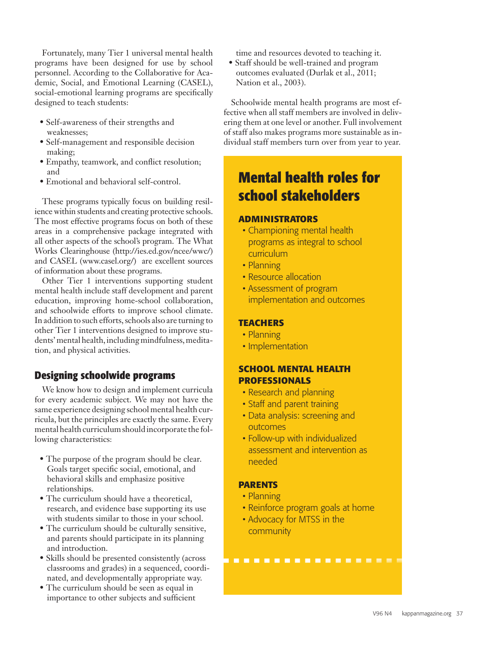Fortunately, many Tier 1 universal mental health programs have been designed for use by school personnel. According to the Collaborative for Academic, Social, and Emotional Learning (CASEL), social-emotional learning programs are specifically designed to teach students:

- Self-awareness of their strengths and weaknesses;
- Self-management and responsible decision making;
- Empathy, teamwork, and conflict resolution; and
- Emotional and behavioral self-control.

These programs typically focus on building resilience within students and creating protective schools. The most effective programs focus on both of these areas in a comprehensive package integrated with all other aspects of the school's program. The What Works Clearinghouse (http://ies.ed.gov/ncee/wwc/) and CASEL (www.casel.org/) are excellent sources of information about these programs.

Other Tier 1 interventions supporting student mental health include staff development and parent education, improving home-school collaboration, and schoolwide efforts to improve school climate. In addition to such efforts, schools also are turning to other Tier 1 interventions designed to improve students' mental health, including mindfulness, meditation, and physical activities.

#### **Designing schoolwide programs**

We know how to design and implement curricula for every academic subject. We may not have the same experience designing school mental health curricula, but the principles are exactly the same. Every mental health curriculum should incorporate the following characteristics:

- The purpose of the program should be clear. Goals target specific social, emotional, and behavioral skills and emphasize positive relationships.
- The curriculum should have a theoretical, research, and evidence base supporting its use with students similar to those in your school.
- The curriculum should be culturally sensitive, and parents should participate in its planning and introduction.
- Skills should be presented consistently (across classrooms and grades) in a sequenced, coordinated, and developmentally appropriate way.
- The curriculum should be seen as equal in importance to other subjects and sufficient

time and resources devoted to teaching it.

• Staff should be well-trained and program outcomes evaluated (Durlak et al., 2011; Nation et al., 2003).

Schoolwide mental health programs are most effective when all staff members are involved in delivering them at one level or another. Full involvement of staff also makes programs more sustainable as individual staff members turn over from year to year.

## **Mental health roles for school stakeholders**

#### **ADMINISTRATORS**

- Championing mental health programs as integral to school curriculum
- • Planning
- Resource allocation
- Assessment of program implementation and outcomes

#### **TEACHERS**

- Planning
- Implementation

#### **SCHOOL MENTAL HEALTH PROFESSIONALS**

- Research and planning
- Staff and parent training
- Data analysis: screening and outcomes
- Follow-up with individualized assessment and intervention as needed

#### **PARENTS**

- • Planning
- Reinforce program goals at home

----------------

• Advocacy for MTSS in the community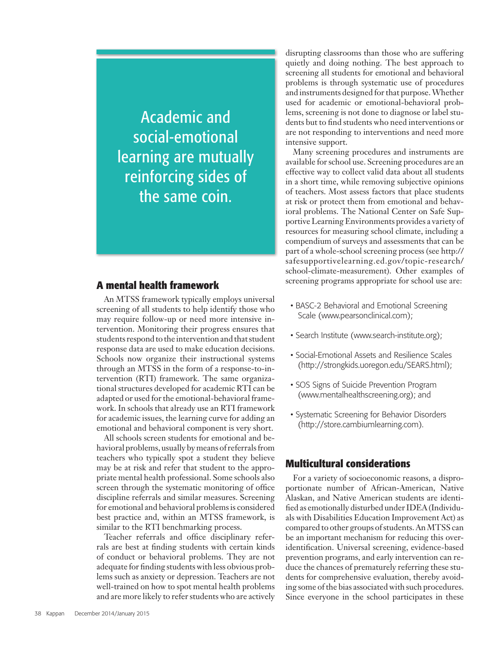Academic and social-emotional learning are mutually reinforcing sides of the same coin.

#### **A mental health framework**

An MTSS framework typically employs universal screening of all students to help identify those who may require follow-up or need more intensive intervention. Monitoring their progress ensures that students respond to the intervention and that student response data are used to make education decisions. Schools now organize their instructional systems through an MTSS in the form of a response-to-intervention (RTI) framework. The same organizational structures developed for academic RTI can be adapted or used for the emotional-behavioral framework. In schools that already use an RTI framework for academic issues, the learning curve for adding an emotional and behavioral component is very short.

All schools screen students for emotional and behavioral problems, usually by means of referrals from teachers who typically spot a student they believe may be at risk and refer that student to the appropriate mental health professional. Some schools also screen through the systematic monitoring of office discipline referrals and similar measures. Screening for emotional and behavioral problems is considered best practice and, within an MTSS framework, is similar to the RTI benchmarking process.

Teacher referrals and office disciplinary referrals are best at finding students with certain kinds of conduct or behavioral problems. They are not adequate for finding students with less obvious problems such as anxiety or depression. Teachers are not well-trained on how to spot mental health problems and are more likely to refer students who are actively disrupting classrooms than those who are suffering quietly and doing nothing. The best approach to screening all students for emotional and behavioral problems is through systematic use of procedures and instruments designed for that purpose. Whether used for academic or emotional-behavioral problems, screening is not done to diagnose or label students but to find students who need interventions or are not responding to interventions and need more intensive support.

Many screening procedures and instruments are available for school use. Screening procedures are an effective way to collect valid data about all students in a short time, while removing subjective opinions of teachers. Most assess factors that place students at risk or protect them from emotional and behavioral problems. The National Center on Safe Supportive Learning Environments provides a variety of resources for measuring school climate, including a compendium of surveys and assessments that can be part of a whole-school screening process (see http:// safesupportivelearning.ed.gov/topic-research/ school-climate-measurement). Other examples of screening programs appropriate for school use are:

- BASC-2 Behavioral and Emotional Screening Scale (www.pearsonclinical.com);
- Search Institute (www.search-institute.org);
- Social-Emotional Assets and Resilience Scales (http://strongkids.uoregon.edu/SEARS.html);
- SOS Signs of Suicide Prevention Program (www.mentalhealthscreening.org); and
- Systematic Screening for Behavior Disorders (http://store.cambiumlearning.com).

#### **Multicultural considerations**

For a variety of socioeconomic reasons, a disproportionate number of African-American, Native Alaskan, and Native American students are identified as emotionally disturbed under IDEA (Individuals with Disabilities Education Improvement Act) as compared to other groups of students. An MTSS can be an important mechanism for reducing this overidentification. Universal screening, evidence-based prevention programs, and early intervention can reduce the chances of prematurely referring these students for comprehensive evaluation, thereby avoiding some of the bias associated with such procedures. Since everyone in the school participates in these